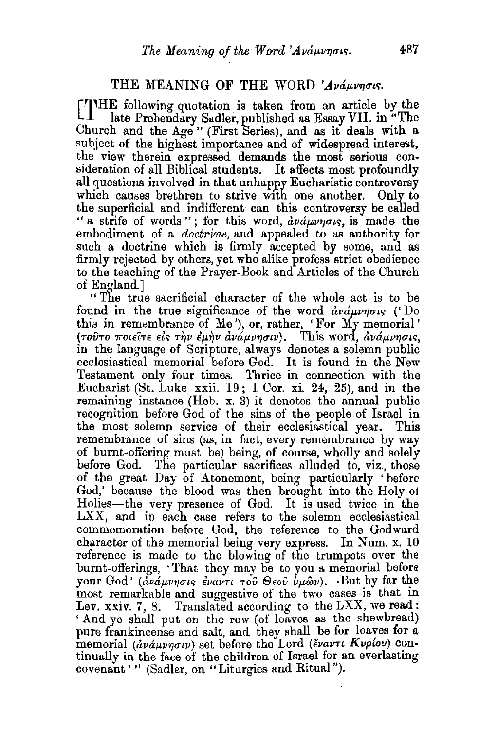## THE MEANING OF THE WORD 'Avauvnois.

 $\llbracket \text{THE following quotation is taken from an article by the  
lata Prehendary Sudler published as Essay VII in "The$ late Prebendary Sadler, published as Essay VII. in "The Church and the Age" (First Series), and as it deals with a subject of the highest importance and of widespread interest, the view therein expressed demands the most serious consideration of all Biblical students. It affects most profoundly all questions involved in that unhappy Eucharistic controversy which causes brethren to strive with one another. Only to the superficial and indifierent can this controversy be called "a strife of words"; for this word,  $\frac{\partial v}{\partial \mu}$  and  $\frac{\partial v}{\partial \mu}$  is made the embodiment of a *doctrine,* and appealed to as authority for such a doctrine which is firmly accepted by some, and as firmly rejected by others, yet who alike profess strict obedience to the teaching of the Prayer-Book and Articles of the Church of England.]

"The true sacrificial character of the whole act is to be found in the true significance of the word  $\frac{\partial u}{\partial x}$  of  $\frac{\partial v}{\partial y}$  ('Do this in remembrance of  $Me'$ ), or, rather, 'For My memorial' (τούτο ποιείτε είς την έμην ανάμνησιν). This word, ανάμνησις, in the language of Scripture, always denotes a solemn public ecclesiastical memorial before God. It is found in the New Testament only four times. Thrice in connection with the Eucharist (St. Luke xxii.  $19:1$  Cor. xi. 24, 25), and in the remaining instance (Heb. x. 3) it denotes the annual public recognition before God of the sins of the people of Israel in the most solemn service of their ecclesiastical year. This remembrance of sins (as, in fact, every remembrance by way of burnt-offering must be) being, of course, wholly and solely before God. The particular sacrifices alluded to, viz., those of the great Day of Atonement, being particularly 'before God,' because the blood was then brought into the Holy ot Holies-the very presence of God. It is used twice in the  $LXX$ , and in each case refers to the solemn ecclesiastical commemoration before God, the reference to the Godward character of the memorial being very express. In Num. x. 10 reference is made to the blowing of the trumpets over the burnt-offerings, · That they may be to you a memorial before your God' ( $\tilde{a}\nu\tilde{a}\mu\nu\eta\sigma\iota\varsigma$   $\tilde{\epsilon}\nu\alpha\nu\tau\iota\tau\sigma\tilde{\nu}$   $\Theta\epsilon\sigma\tilde{\nu}$   $\tilde{\nu}\mu\tilde{\omega}\nu$ ).  $\Phi$ -But by far the most remarkable and suggestive of the two cases is that in Lev. xxiv. 7, 8. Translated according to the LXX, we read: 'And ye shall put on the row (of loaves as the shewbread) pure frankincense and salt, and they shall be for loaves for a memorial ( $\hat{a}\nu\hat{a}\mu\nu\eta\sigma\nu\n$ ) set before the Lord ( $\check{e}\nu\hat{a}\nu\tau\iota$  Kvp $(\omega)$  continually in the face of the children of Israel for an everlasting covenant ' " (Sadler, on "Liturgies and Ritual").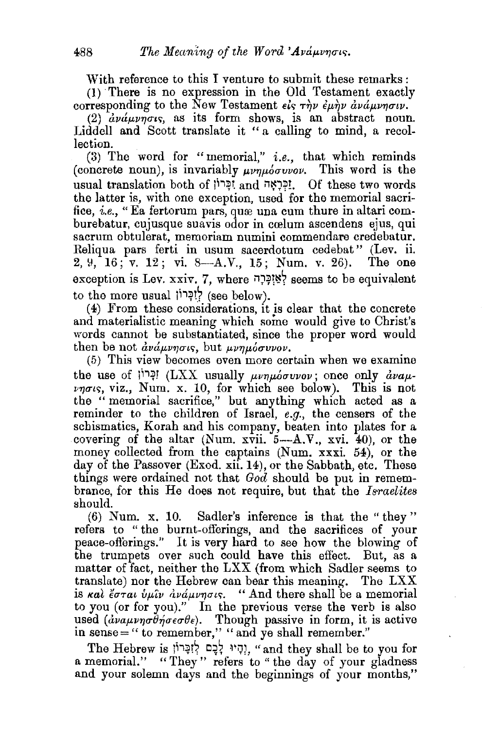With reference to this I venture to submit these remarks :

(1) There is no expression in the Old Testament exactly corresponding to the New Testament  $\epsilon \hat{i}_{\bar{y}} \tau \hat{\eta} \nu \hat{\epsilon} \mu \hat{\eta} \nu \hat{\alpha} \nu \hat{\alpha} \mu \nu \eta \sigma \nu$ .

(2)  $\frac{\partial}{\partial y} \dot{\alpha} \mu \nu \eta \sigma \iota s$ , as its form shows, is an abstract noun. Liddell and Scott translate it " a calling to mind, a recollection.

(3) The word for "memorial," *i.e.,* that which reminds (concrete noun), is invariably  $\mu\nu\eta\mu\delta\sigma\nu\nu\sigma\nu$ . This word is the usual translation both of jh~t and n~J:P!. Of these two words the latter is, with one exception, used for the memorial sacrifice, *i.e.*, "Ea fertorum pars, quee una cum thure in altari comburebatur, cujusque suavis odor in cœlum ascendens ejus, qui sacrum obtulerat, memoriam numini commendare credebatur. Reliqua pars ferti in usum sacerdotum cedebat" (Lev. ii.<br>2. 9. 16: v. 12: vi. 8—A.V.. 15: Num. v. 26). The one 2, 9, 16; v. 12; vi. 8-A.V., 15; Num. v. 26). exception is Lev. xxiv. 7, where  $\frac{1}{2}$ לֹאֲזְכָּרָה seems to be equivalent to the more usual לְוָכָּרוֹן) (see below).

( 4) From these considerations, 1t is clear that the concrete and materialistic meaning which some would give to Christ's words cannot be substantiated, since the proper word would then be not  $\partial_{\mu}u_{\mu}$  but  $\partial_{\mu}u_{\mu}$  but  $\partial_{\mu}u_{\mu}$ .

(5) This view becomes even more certain when we examine the use of  $i^{i+1}$ יִבְּרוֹן (LXX usually  $\mu\nu\eta\mu\sigma\nu\nu\sigma\nu\nu$ , once only  $\frac{d}{d}\nu a\mu$ - $\nu\eta\sigma\iota\varsigma$ , viz., Num. x. 10, for which see below). This is not the " memorial sacrifice," but anything which acted as a reminder to the children of Israel, *e.g.,* the censers of the schismatics, Korah and his company, beaten into plates for a covering of the altar (Num.  $x\overline{v}$ ii.  $5-A.V., xvi. 40$ ), or the money collected from the captains (Num. xxxi. 54), or the day of the Passover (Exod. xii. 14), or the Sabbath, etc. These things were ordained not that *God* should be put in remembrance, for this He does not require, but that the *Israelites*  should.

 $(6)$  Num. x, 10. Sadler's inference is that the "they" refers to " the burnt-offerings, and the sacrifices of your peace-ofterings." It is very hard to see how the blowing of the trumpets over such could have this eflect. But, as a matter of fact, neither the LXX (from which Sadler seems to translate) nor the Hebrew can bear this meaning. The LXX is *kal* coral  $\hat{v}$ ulu dva upons. "And there shall be a memorial to you (or for you)." In the previous verse the verb is also used  $(d\nu a\mu\nu\eta\sigma\theta\eta\sigma\epsilon\sigma\theta\epsilon)$ . Though passive in form, it is active in sense=" to remember," "and ye shall remember."

The Hebrew is יְהָיוּ לְכֶם לְזִכְּרוֹן, "and they shall be to you for a memorial." "They" refers to "the day of your gladness and your solemn days and the beginnings of your months,"